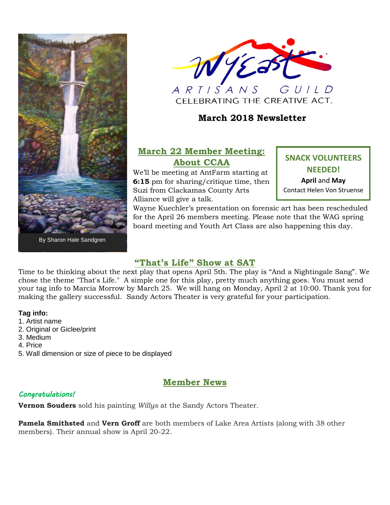



 $G *U* / *L* D$  $\overline{A}$   $\overline{R}$   $\overline{I}$   $\overline{I}$   $\overline{S}$   $\overline{A}$   $\overline{N}$   $\overline{S}$ CELEBRATING THE CREATIVE ACT.

## **March 2018 Newsletter**

# **March 22 Member Meeting: About CCAA**

We'll be meeting at AntFarm starting at **6:15** pm for sharing/critique time, then Suzi from Clackamas County Arts Alliance will give a talk.

**SNACK VOLUNTEERS NEEDED! April** and **May** Contact Helen Von Struense

Wayne Kuechler's presentation on forensic art has been rescheduled for the April 26 members meeting. Please note that the WAG spring board meeting and Youth Art Class are also happening this day.

### **"That's Life" Show at SAT**

Time to be thinking about the next play that opens April 5th. The play is "And a Nightingale Sang". We chose the theme "That's Life." A simple one for this play, pretty much anything goes. You must send your tag info to Marcia Morrow by March 25. We will hang on Monday, April 2 at 10:00. Thank you for making the gallery successful. Sandy Actors Theater is very grateful for your participation.

#### **Tag info:**

- 1. Artist name
- 2. Original or Giclee/print
- 3. Medium
- 4. Price
- 5. Wall dimension or size of piece to be displayed

### **Member News**

### *Congratulations!*

**Vernon Souders** sold his painting *Willys* at the Sandy Actors Theater.

**Pamela Smithsted** and **Vern Groff** are both members of Lake Area Artists (along with 38 other members). Their annual show is April 20-22.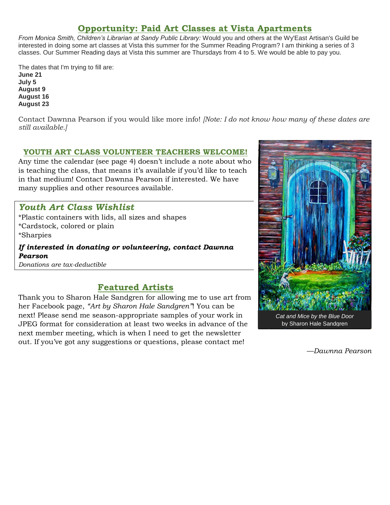# **Opportunity: Paid Art Classes at Vista Apartments**

*From Monica Smith, Children's Librarian at Sandy Public Library:* Would you and others at the Wy'East Artisan's Guild be interested in doing some art classes at Vista this summer for the Summer Reading Program? I am thinking a series of 3 classes. Our Summer Reading days at Vista this summer are Thursdays from 4 to 5. We would be able to pay you.

The dates that I'm trying to fill are: **June 21 July 5 August 9 August 16 August 23**

Contact Dawnna Pearson if you would like more info! *[Note: I do not know how many of these dates are still available.]*

#### **YOUTH ART CLASS VOLUNTEER TEACHERS WELCOME!**

Any time the calendar (see page 4) doesn't include a note about who is teaching the class, that means it's available if you'd like to teach in that medium! Contact Dawnna Pearson if interested. We have many supplies and other resources available.

## *Youth Art Class Wishlist*

\*Plastic containers with lids, all sizes and shapes \*Cardstock, colored or plain

\*Sharpies

*If interested in donating or volunteering, contact Dawnna Pearson Donations are tax-deductible*

**Featured Artists**

Thank you to Sharon Hale Sandgren for allowing me to use art from her Facebook page, *"Art by Sharon Hale Sandgren"*! You can be next! Please send me season-appropriate samples of your work in JPEG format for consideration at least two weeks in advance of the next member meeting, which is when I need to get the newsletter out. If you've got any suggestions or questions, please contact me!



*Cat and Mice by the Blue Door* by Sharon Hale Sandgren

*—Dawnna Pearson*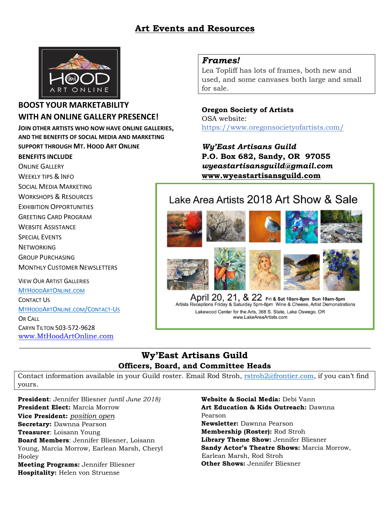# **Art Events and Resources**



#### **BOOST YOUR MARKETABILITY WITH AN ONLINE GALLERY PRESENCE!**

**JOIN OTHER ARTISTS WHO NOW HAVE ONLINE GALLERIES, AND THE BENEFITS OF SOCIAL MEDIA AND MARKETING SUPPORT THROUGH MT. HOOD ART ONLINE**

#### **BENEFITS INCLUDE**

ONLINE GALLERY WEEKLY TIPS & INFO SOCIAL MEDIA MARKETING WORKSHOPS & RESOURCES EXHIBITION OPPORTUNITIES

GREETING CARD PROGRAM

WEBSITE ASSISTANCE

SPECIAL EVENTS

**NETWORKING** 

GROUP PURCHASING

MONTHLY CUSTOMER NEWSLETTERS

VIEW OUR ARTIST GALLERIES [M](http://www.mthoodartonline.com/)[T](http://www.mthoodartonline.com/)[H](http://www.mthoodartonline.com/)[OOD](http://www.mthoodartonline.com/)[A](http://www.mthoodartonline.com/)[RT](http://www.mthoodartonline.com/)[O](http://www.mthoodartonline.com/)[NLINE](http://www.mthoodartonline.com/)[.](http://www.mthoodartonline.com/)[COM](http://www.mthoodartonline.com/) CONTACT US [M](http://www.mthoodartonline/Contact-Us)[T](http://www.mthoodartonline/Contact-Us)[H](http://www.mthoodartonline/Contact-Us)[OOD](http://www.mthoodartonline/Contact-Us)[A](http://www.mthoodartonline/Contact-Us)[RT](http://www.mthoodartonline/Contact-Us)[O](http://www.mthoodartonline/Contact-Us)[NLINE](http://www.mthoodartonline/Contact-Us)[.](http://www.mthoodartonline/Contact-Us)[COM](http://www.mthoodartonline/Contact-Us)[/C](http://www.mthoodartonline/Contact-Us)[ONTACT](http://www.mthoodartonline/Contact-Us)[-U](http://www.mthoodartonline/Contact-Us)[S](http://www.mthoodartonline/Contact-Us) OR CALL CARYN TILTON 503-572-9628 [www.MtHoodArtOnline.com](http://www.mthoodartonline.com/)

#### *Frames!*

Lea Topliff has lots of frames, both new and used, and some canvases both large and small for sale.

**Oregon Society of Artists** OSA website: <https://www.oregonsocietyofartists.com/>

*Wy'East Artisans Guild* **P.O. Box 682, Sandy, OR 97055** *wyeastartisansguild@gmail.com* **[www.wyeastartisansguild.com](http://www.wyeastartisansguild.com/)**

# Lake Area Artists 2018 Art Show & Sale



April 20, 21, & 22 Fri & Sat 10am-8pm Sun 10am-5pm Artists Receptions Friday & Saturday 5pm-8pm Wine & Cheese, Artist Demonstrations Lakewood Center for the Arts, 368 S. State, Lake Oswego, OR www.LakeAreaArtists.com

#### **Wy'East Artisans Guild Officers, Board, and Committee Heads**

 $\_$  , and the set of the set of the set of the set of the set of the set of the set of the set of the set of the set of the set of the set of the set of the set of the set of the set of the set of the set of the set of th

Contact information available in your Guild roster. Email Rod Stroh, [rstroh2@frontier.com](mailto:rstroh2@frontier.com), if you can't find yours.

**President**: Jennifer Bliesner *(until June 2018)* **President Elect:** Marcia Morrow **Vice President:** *position open* **Secretary:** Dawnna Pearson **Treasurer**: Loisann Young **Board Members**: Jennifer Bliesner, Loisann Young, Marcia Morrow, Earlean Marsh, Cheryl Hooley **Meeting Programs:** Jennifer Bliesner **Hospitality:** Helen von Struense

**Website & Social Media:** Debi Vann **Art Education & Kids Outreach:** Dawnna Pearson **Newsletter:** Dawnna Pearson **Membership (Roster):** Rod Stroh **Library Theme Show:** Jennifer Bliesner **Sandy Actor's Theatre Shows:** Marcia Morrow, Earlean Marsh, Rod Stroh **Other Shows:** Jennifer Bliesner